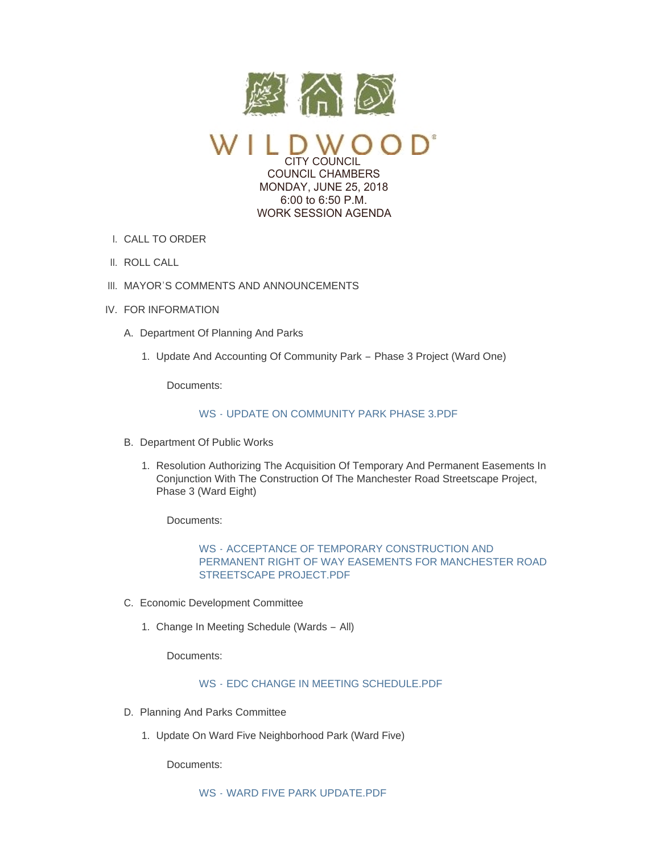

CITY COUNCIL COUNCIL CHAMBERS MONDAY, JUNE 25, 2018 6:00 to 6:50 P.M. WORK SESSION AGENDA

- CALL TO ORDER I.
- II. ROLL CALL
- III. MAYOR'S COMMENTS AND ANNOUNCEMENTS
- IV. FOR INFORMATION
	- A. Department Of Planning And Parks
		- 1. Update And Accounting Of Community Park Phase 3 Project (Ward One)

Documents:

## WS - [UPDATE ON COMMUNITY PARK PHASE 3.PDF](https://www.cityofwildwood.com/AgendaCenter/ViewFile/Item/16040?fileID=23610)

- B. Department Of Public Works
	- 1. Resolution Authorizing The Acquisition Of Temporary And Permanent Easements In Conjunction With The Construction Of The Manchester Road Streetscape Project, Phase 3 (Ward Eight)

Documents:

# WS - ACCEPTANCE OF TEMPORARY CONSTRUCTION AND [PERMANENT RIGHT OF WAY EASEMENTS FOR MANCHESTER ROAD](https://www.cityofwildwood.com/AgendaCenter/ViewFile/Item/16042?fileID=23622)  STREETSCAPE PROJECT.PDF

- Economic Development Committee C.
	- Change In Meeting Schedule (Wards All) 1.

Documents:

# WS - [EDC CHANGE IN MEETING SCHEDULE.PDF](https://www.cityofwildwood.com/AgendaCenter/ViewFile/Item/16044?fileID=23612)

- D. Planning And Parks Committee
	- 1. Update On Ward Five Neighborhood Park (Ward Five)

Documents: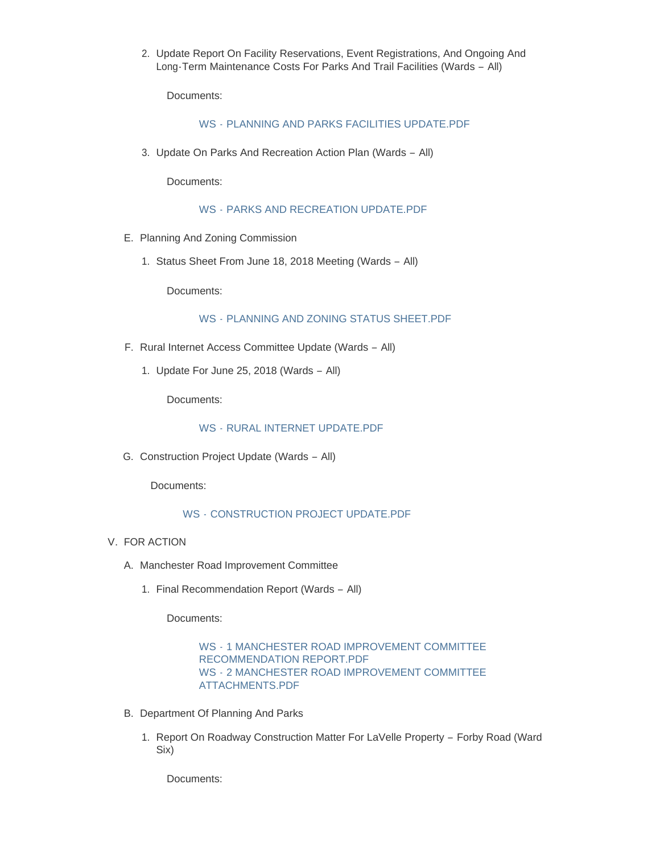2. Update Report On Facility Reservations, Event Registrations, And Ongoing And Long-Term Maintenance Costs For Parks And Trail Facilities (Wards – All)

Documents:

### WS - [PLANNING AND PARKS FACILITIES UPDATE.PDF](https://www.cityofwildwood.com/AgendaCenter/ViewFile/Item/16047?fileID=23613)

3. Update On Parks And Recreation Action Plan (Wards - All)

Documents:

WS - [PARKS AND RECREATION UPDATE.PDF](https://www.cityofwildwood.com/AgendaCenter/ViewFile/Item/16048?fileID=23614)

- E. Planning And Zoning Commission
	- 1. Status Sheet From June 18, 2018 Meeting (Wards All)

Documents:

#### WS - [PLANNING AND ZONING STATUS SHEET.PDF](https://www.cityofwildwood.com/AgendaCenter/ViewFile/Item/16050?fileID=23615)

- F. Rural Internet Access Committee Update (Wards All)
	- 1. Update For June 25, 2018 (Wards  $-$  All)

Documents:

WS - [RURAL INTERNET UPDATE.PDF](https://www.cityofwildwood.com/AgendaCenter/ViewFile/Item/16053?fileID=23617)

G. Construction Project Update (Wards - All)

Documents:

### WS - [CONSTRUCTION PROJECT UPDATE.PDF](https://www.cityofwildwood.com/AgendaCenter/ViewFile/Item/16054?fileID=23618)

- V. FOR ACTION
	- A. Manchester Road Improvement Committee
		- 1. Final Recommendation Report (Wards All)

Documents:

### WS - [1 MANCHESTER ROAD IMPROVEMENT COMMITTEE](https://www.cityofwildwood.com/AgendaCenter/ViewFile/Item/16057?fileID=23621)  RECOMMENDATION REPORT.PDF WS - [2 MANCHESTER ROAD IMPROVEMENT COMMITTEE](https://www.cityofwildwood.com/AgendaCenter/ViewFile/Item/16057?fileID=23619)  ATTACHMENTS.PDF

- B. Department Of Planning And Parks
	- 1. Report On Roadway Construction Matter For LaVelle Property Forby Road (Ward Six)

Documents: